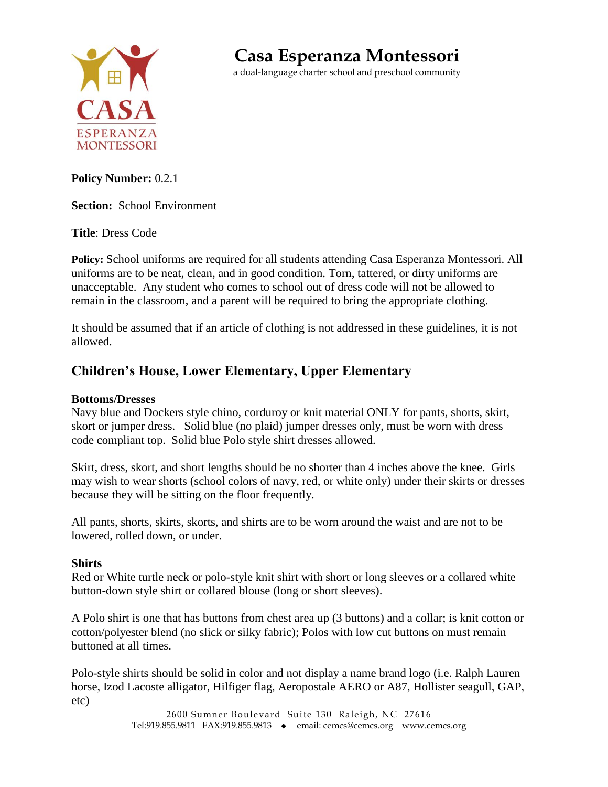

**Casa Esperanza Montessori**

a dual-language charter school and preschool community

### **Policy Number:** 0.2.1

**Section:** School Environment

**Title**: Dress Code

**Policy:** School uniforms are required for all students attending Casa Esperanza Montessori. All uniforms are to be neat, clean, and in good condition. Torn, tattered, or dirty uniforms are unacceptable. Any student who comes to school out of dress code will not be allowed to remain in the classroom, and a parent will be required to bring the appropriate clothing.

It should be assumed that if an article of clothing is not addressed in these guidelines, it is not allowed.

# **Children's House, Lower Elementary, Upper Elementary**

#### **Bottoms/Dresses**

Navy blue and Dockers style chino, corduroy or knit material ONLY for pants, shorts, skirt, skort or jumper dress. Solid blue (no plaid) jumper dresses only, must be worn with dress code compliant top. Solid blue Polo style shirt dresses allowed.

Skirt, dress, skort, and short lengths should be no shorter than 4 inches above the knee. Girls may wish to wear shorts (school colors of navy, red, or white only) under their skirts or dresses because they will be sitting on the floor frequently.

All pants, shorts, skirts, skorts, and shirts are to be worn around the waist and are not to be lowered, rolled down, or under.

#### **Shirts**

Red or White turtle neck or polo-style knit shirt with short or long sleeves or a collared white button-down style shirt or collared blouse (long or short sleeves).

A Polo shirt is one that has buttons from chest area up (3 buttons) and a collar; is knit cotton or cotton/polyester blend (no slick or silky fabric); Polos with low cut buttons on must remain buttoned at all times.

Polo-style shirts should be solid in color and not display a name brand logo (i.e. Ralph Lauren horse, Izod Lacoste alligator, Hilfiger flag, Aeropostale AERO or A87, Hollister seagull, GAP, etc)

> 2600 Sumner Boulevard Suite 130 Raleigh, NC 27616 Tel:919.855.9811 FAX:919.855.9813 • email: cemcs@cemcs.org www.cemcs.org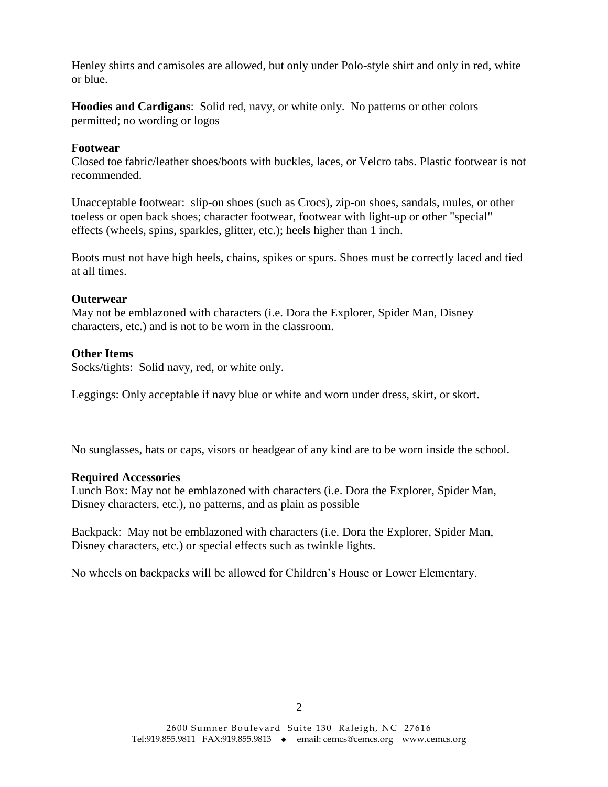Henley shirts and camisoles are allowed, but only under Polo-style shirt and only in red, white or blue.

**Hoodies and Cardigans**: Solid red, navy, or white only. No patterns or other colors permitted; no wording or logos

#### **Footwear**

Closed toe fabric/leather shoes/boots with buckles, laces, or Velcro tabs. Plastic footwear is not recommended.

Unacceptable footwear: slip-on shoes (such as Crocs), zip-on shoes, sandals, mules, or other toeless or open back shoes; character footwear, footwear with light-up or other "special" effects (wheels, spins, sparkles, glitter, etc.); heels higher than 1 inch.

Boots must not have high heels, chains, spikes or spurs. Shoes must be correctly laced and tied at all times.

#### **Outerwear**

May not be emblazoned with characters (i.e. Dora the Explorer, Spider Man, Disney characters, etc.) and is not to be worn in the classroom.

#### **Other Items**

Socks/tights: Solid navy, red, or white only.

Leggings: Only acceptable if navy blue or white and worn under dress, skirt, or skort.

No sunglasses, hats or caps, visors or headgear of any kind are to be worn inside the school.

#### **Required Accessories**

Lunch Box: May not be emblazoned with characters (i.e. Dora the Explorer, Spider Man, Disney characters, etc.), no patterns, and as plain as possible

Backpack: May not be emblazoned with characters (i.e. Dora the Explorer, Spider Man, Disney characters, etc.) or special effects such as twinkle lights.

No wheels on backpacks will be allowed for Children's House or Lower Elementary.